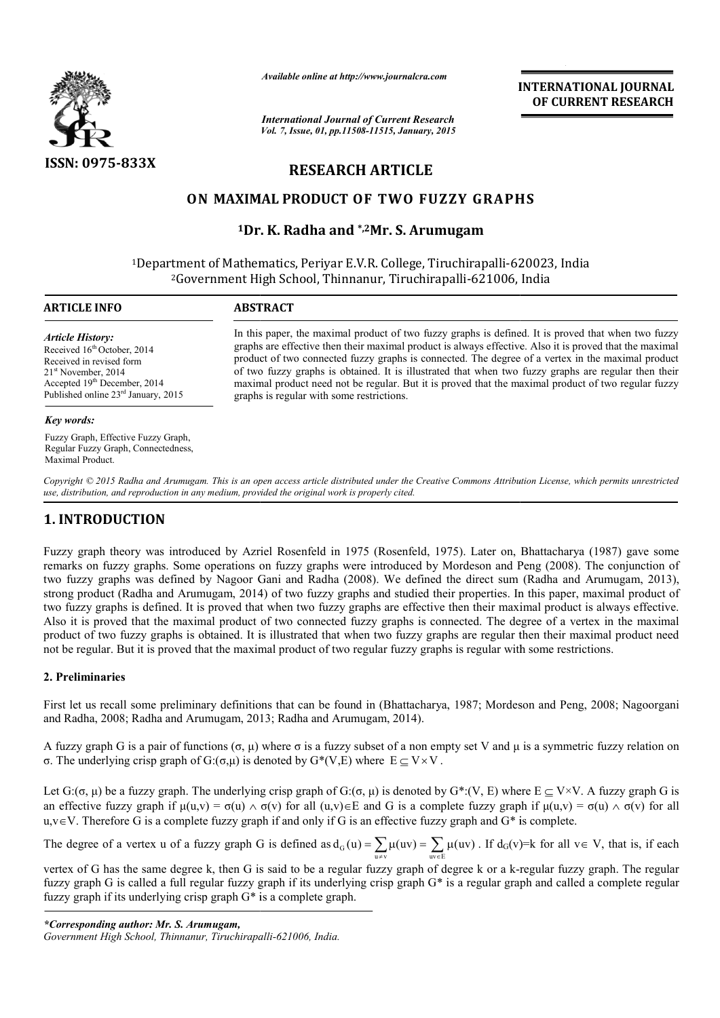

*Available online at http://www.journalcra.com*

*International Journal of Current Research Vol. 7, Issue, 01, pp.11508-11515, January, 2015* **INTERNATIONAL INTERNATIONAL JOURNAL OF CURRENT RESEARCH** 

# **RESEARCH ARTICLE**

# **ON MAXIMAL PRODUCT OF TWO FUZZY GRAPHS TWO**

# <sup>1</sup>Dr. K. Radha and <sup>\*,2</sup>Mr. S. Arumugam

<sup>1</sup>Department of Mathematics, Periyar E.V.R. College, Tiruchirapalli-620023, India <sup>2</sup>Government High School, Thinnanur, Tiruchirapalli-621006, India  $\overline{a}$ 

#### **ARTICLE INFO ABSTRACT**

#### *Article History:*

Received 16<sup>th</sup> October, 2014 Received in revised form 21<sup>st</sup> November, 2014 Accepted 19<sup>th</sup> December, 2014 Published online 23rd January, 2015

### *Key words:*

Fuzzy Graph, Effective Fuzzy Graph, Regular Fuzzy Graph, Connectedness, Maximal Product.

In this paper, the maximal product of two fuzzy graphs is defined. It is proved that when two fuzzy graphs are effective then their maximal product is always effective. Also it is proved that the maximal product of two con graphs are effective then their maximal product is always effective. Also it is proved that the maximal product of two connected fuzzy graphs is connected. The degree of a vertex in the of two fuzzy graphs is obtained. It is illustrated that when two fuzzy graphs are regular then their maximal product need not be regular. But it is proved that the maximal product of two regular fuzzy graphs is regular with some restrictions.

*Copyright © 2015 Radha and Arumugam. This is an open access article distributed under the Creative Commons Att Attribution License, which ribution permits unrestricted use, distribution, and reproduction in any medium, provided the original work is properly cited.*

# **1. INTRODUCTION**

Fuzzy graph theory was introduced by Azriel Rosenfeld in 1975 (Rosenfeld, 1975). Later on, Bhattacharya (1987) gave some remarks on fuzzy graphs. Some operations on fuzzy graphs were introduced by Mordeson and Peng (2008). The conjunction of two fuzzy graphs was defined by Nagoor Gani and Radha (2008). We defined the direct sum (Radha and Arumugam, 2013), strong product (Radha and Arumugam, 2014) of two fuzzy graphs and studied their properties. In this paper, maximal product of two fuzzy graphs is defined. It is proved that when two fuzzy graphs are effective then their maximal product is always effective. Also it is proved that the maximal product of two connected fuzzy graphs is connected. The degree of a vertex in the maximal product of two fuzzy graphs is obtained. It is illustrated that when two fuzzy graphs are regular then their maximal product need not be regular. But it is proved that the maximal product of two regular fuzzy graphs is regular with some restrictions.

# **2. Preliminaries**

First let us recall some preliminary definitions that can be found in (Bhattacharya, 1987; Mordeson and Peng, 2008; Nagoorgani and Radha, 2008; Radha and Arumugam, 2013 2013; Radha and Arumugam, 2014).

A fuzzy graph G is a pair of functions  $(\sigma, \mu)$  where  $\sigma$  is a fuzzy subset of a non empty set V and  $\mu$  is a symmetric fuzzy relation on σ. The underlying crisp graph of G:(σ,μ) is denoted by  $G^*(V, E)$  where  $E \subseteq V \times V$ .

Let  $G: (\sigma, \mu)$  be a fuzzy graph. The underlying crisp graph of  $G: (\sigma, \mu)$  is denoted by  $G^*(V, E)$  where  $E \subseteq V \times V$ . A fuzzy graph G is an effective fuzzy graph if  $\mu(u,v) = \sigma(u) \wedge \sigma(v)$  for all  $(u,v) \in E$  and G is a complete fuzzy graph if  $\mu(u,v) = \sigma(u) \wedge \sigma(v)$  for all  $u, v \in V$ . Therefore G is a complete fuzzy graph if and only if G is an effective fuzzy graph and  $G^*$  is complete.

The degree of a vertex u of a fuzzy graph G is defined as  $d_G(u) = \sum_{u \neq v} \mu(uv) = \sum_{uv \in E}$  $d_G(u) = \sum \mu(uv) = \sum \mu(uv)$ in effective fuzzy graph and G\* is complete.<br>=  $\sum_{uv \in E} \mu(uv) = \sum_{uv \in E} \mu(uv)$ . If  $d_G(v)=k$  for all  $v \in V$ , that is, if each

vertex of G has the same degree k, then G is said to be a regular fuzzy graph of degree k or a k-regular fuzzy graph. The regular fuzzy graph G is called a full regular fuzzy graph if its underlying crisp graph  $G^*$  is a regular graph and called a complete regular fuzzy graph if its underlying crisp graph  $G^*$  is a complete graph.

*\*Corresponding author: Mr. S. Arumugam,*

*Government High School, Thinnanur, Tiruchirapalli Tiruchirapalli-621006, India.*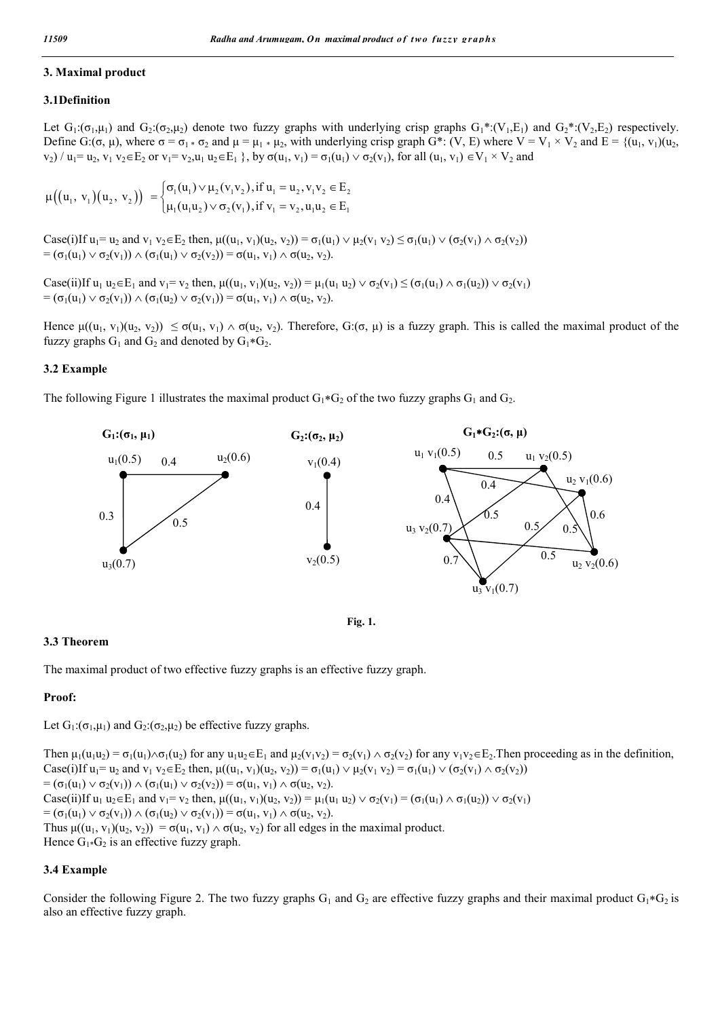# **3. Maximal product**

# **3.1Definition**

Let  $G_1: (\sigma_1, \mu_1)$  and  $G_2: (\sigma_2, \mu_2)$  denote two fuzzy graphs with underlying crisp graphs  $G_1^*: (V_1, E_1)$  and  $G_2^*: (V_2, E_2)$  respectively. Define G:(σ, μ), where  $\sigma = \sigma_1 * \sigma_2$  and  $\mu = \mu_1 * \mu_2$ , with underlying crisp graph G\*: (V, E) where V = V<sub>1</sub> × V<sub>2</sub> and E = {(u<sub>1</sub>, v<sub>1</sub>)(u<sub>2</sub>,  $v_2$ ) / u<sub>1</sub>= u<sub>2</sub>,  $v_1$   $v_2 \in E_2$  or  $v_1 = v_2, u_1$  u<sub>2</sub> $\in E_1$  }, by  $\sigma(u_1, v_1) = \sigma_1(u_1) \vee \sigma_2(v_1)$ , for all  $(u_1, v_1) \in V_1 \times V_2$  and

$$
\mu((u_1, v_1)(u_2, v_2)) = \begin{cases} \sigma_1(u_1) \vee \mu_2(v_1v_2), \text{if } u_1 = u_2, v_1v_2 \in E_2 \\ \mu_1(u_1u_2) \vee \sigma_2(v_1), \text{if } v_1 = v_2, u_1u_2 \in E_1 \end{cases}
$$

Case(i)If  $u_1 = u_2$  and  $v_1 v_2 \in E_2$  then,  $\mu((u_1, v_1)(u_2, v_2)) = \sigma_1(u_1) \vee \mu_2(v_1 v_2) \le \sigma_1(u_1) \vee (\sigma_2(v_1) \wedge \sigma_2(v_2))$ =  $(\sigma_1(u_1) \vee \sigma_2(v_1)) \wedge (\sigma_1(u_1) \vee \sigma_2(v_2)) = \sigma(u_1, v_1) \wedge \sigma(u_2, v_2).$ 

 $\text{Case}(ii)$   $\text{If } u_1 u_2 \in E_1 \text{ and } v_1 = v_2 \text{ then, } \mu((u_1, v_1)(u_2, v_2)) = \mu_1(u_1 u_2) \vee \sigma_2(v_1) \leq (\sigma_1(u_1) \wedge \sigma_1(u_2)) \vee \sigma_2(v_1)$ =  $(\sigma_1(u_1) \vee \sigma_2(v_1)) \wedge (\sigma_1(u_2) \vee \sigma_2(v_1)) = \sigma(u_1, v_1) \wedge \sigma(u_2, v_2).$ 

Hence  $\mu((u_1, v_1)(u_2, v_2)) \leq \sigma(u_1, v_1) \wedge \sigma(u_2, v_2)$ . Therefore,  $G(\sigma, \mu)$  is a fuzzy graph. This is called the maximal product of the fuzzy graphs  $G_1$  and  $G_2$  and denoted by  $G_1 * G_2$ .

# **3.2 Example**

The following Figure 1 illustrates the maximal product  $G_1*G_2$  of the two fuzzy graphs  $G_1$  and  $G_2$ .



**Fig. 1.**

# **3.3 Theorem**

The maximal product of two effective fuzzy graphs is an effective fuzzy graph.

### **Proof:**

Let  $G_1: (\sigma_1, \mu_1)$  and  $G_2: (\sigma_2, \mu_2)$  be effective fuzzy graphs.

Then  $\mu_1(u_1u_2) = \sigma_1(u_1) \wedge \sigma_1(u_2)$  for any  $u_1u_2 \in E_1$  and  $\mu_2(v_1v_2) = \sigma_2(v_1) \wedge \sigma_2(v_2)$  for any  $v_1v_2 \in E_2$ . Then proceeding as in the definition, Case(i)If  $u_1 = u_2$  and  $v_1 v_2 \in E_2$  then,  $\mu((u_1, v_1)(u_2, v_2)) = \sigma_1(u_1) \vee \mu_2(v_1 v_2) = \sigma_1(u_1) \vee (\sigma_2(v_1) \wedge \sigma_2(v_2))$ =  $(\sigma_1(u_1) \vee \sigma_2(v_1)) \wedge (\sigma_1(u_1) \vee \sigma_2(v_2)) = \sigma(u_1, v_1) \wedge \sigma(u_2, v_2).$ Case(ii)If  $u_1 u_2 \in E_1$  and  $v_1 = v_2$  then,  $\mu((u_1, v_1)(u_2, v_2)) = \mu_1(u_1 u_2) \vee \sigma_2(v_1) = (\sigma_1(u_1) \wedge \sigma_1(u_2)) \vee \sigma_2(v_1)$ =  $(\sigma_1(u_1) \vee \sigma_2(v_1)) \wedge (\sigma_1(u_2) \vee \sigma_2(v_1)) = \sigma(u_1, v_1) \wedge \sigma(u_2, v_2).$ Thus  $\mu((u_1, v_1)(u_2, v_2)) = \sigma(u_1, v_1) \wedge \sigma(u_2, v_2)$  for all edges in the maximal product. Hence  $G_1 * G_2$  is an effective fuzzy graph.

## **3.4 Example**

Consider the following Figure 2. The two fuzzy graphs  $G_1$  and  $G_2$  are effective fuzzy graphs and their maximal product  $G_1 * G_2$  is also an effective fuzzy graph.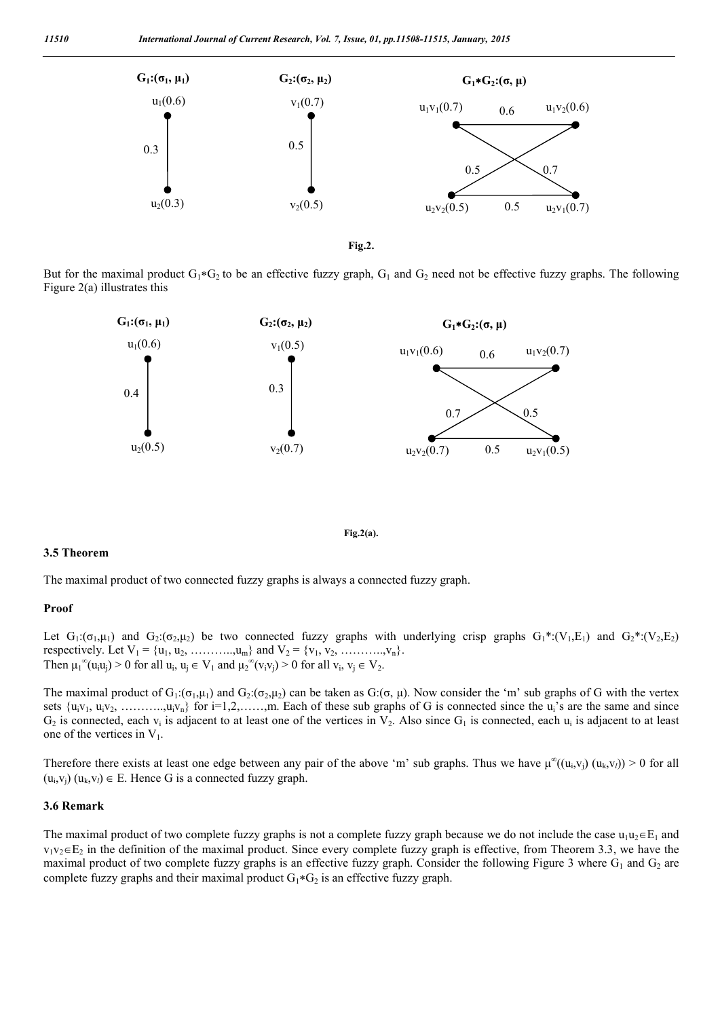

**Fig.2.**

But for the maximal product  $G_1 * G_2$  to be an effective fuzzy graph,  $G_1$  and  $G_2$  need not be effective fuzzy graphs. The following Figure 2(a) illustrates this



**Fig.2(a).**

#### **3.5 Theorem**

The maximal product of two connected fuzzy graphs is always a connected fuzzy graph.

#### **Proof**

Let  $G_1:(\sigma_1,\mu_1)$  and  $G_2:(\sigma_2,\mu_2)$  be two connected fuzzy graphs with underlying crisp graphs  $G_1^*:(V_1,E_1)$  and  $G_2^*(V_2,E_2)$ respectively. Let  $V_1 = \{u_1, u_2, \dots, u_m\}$  and  $V_2 = \{v_1, v_2, \dots, v_n\}$ . Then  $\mu_1^{\infty}(u_iu_j) > 0$  for all  $u_i, u_j \in V_1$  and  $\mu_2^{\infty}(v_iv_j) > 0$  for all  $v_i, v_j \in V_2$ .

The maximal product of  $G_1: (\sigma_1,\mu_1)$  and  $G_2: (\sigma_2,\mu_2)$  can be taken as  $G: (\sigma, \mu)$ . Now consider the 'm' sub graphs of G with the vertex sets  $\{u_i v_1, u_i v_2, \ldots, u_i v_n\}$  for  $i=1,2,\ldots, m$ . Each of these sub graphs of G is connected since the  $u_i$ 's are the same and since  $G_2$  is connected, each  $v_i$  is adjacent to at least one of the vertices in  $V_2$ . Also since  $G_1$  is connected, each  $u_i$  is adjacent to at least one of the vertices in  $V_1$ .

Therefore there exists at least one edge between any pair of the above 'm' sub graphs. Thus we have  $\mu^{\infty}((u_i, v_i) (u_k, v_l)) > 0$  for all  $(u_i, v_i)$   $(u_k, v_l) \in E$ . Hence G is a connected fuzzy graph.

#### **3.6 Remark**

The maximal product of two complete fuzzy graphs is not a complete fuzzy graph because we do not include the case  $u_1u_2 \in E_1$  and  $v_1v_2 \in E_2$  in the definition of the maximal product. Since every complete fuzzy graph is effective, from Theorem 3.3, we have the maximal product of two complete fuzzy graphs is an effective fuzzy graph. Consider the following Figure 3 where  $G_1$  and  $G_2$  are complete fuzzy graphs and their maximal product  $G_1 * G_2$  is an effective fuzzy graph.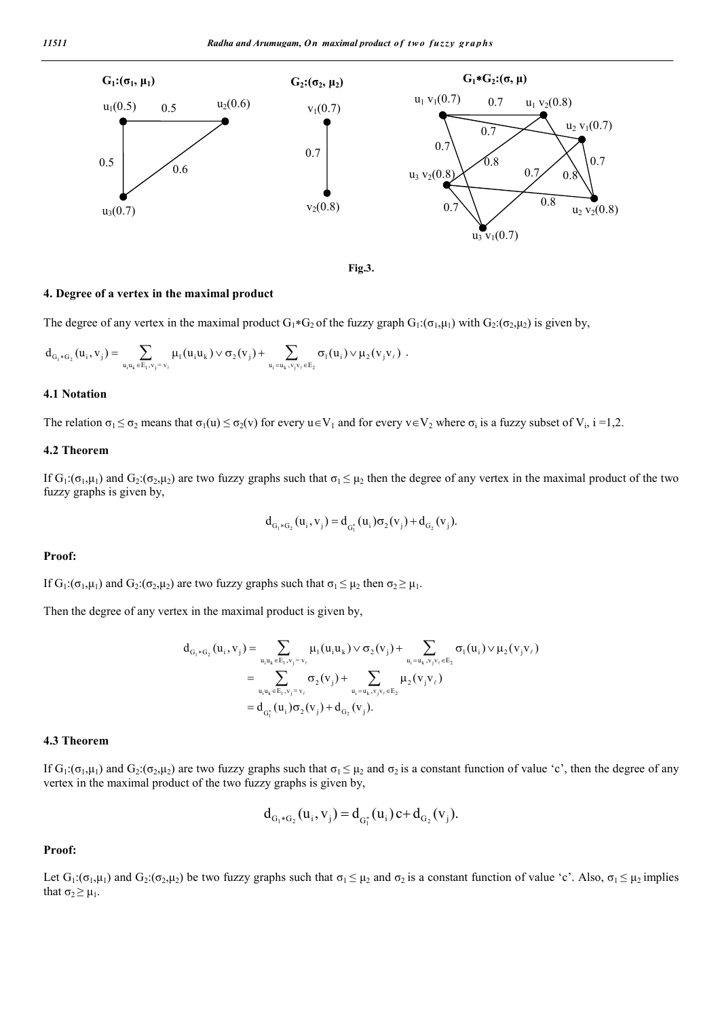

**Fig.3.**

#### **4. Degree of a vertex in the maximal product**

The degree of any vertex in the maximal product  $G_1 * G_2$  of the fuzzy graph  $G_1: (\sigma_1,\mu_1)$  with  $G_2: (\sigma_2,\mu_2)$  is given by,

$$
d_{G_1 * G_2}(u_i, v_j) = \sum_{u_i u_k \in E_1, v_j = v_\ell} \mu_1(u_i u_k) \vee \sigma_2(v_j) + \sum_{u_i = u_k, v_j v_\ell \in E_2} \sigma_1(u_i) \vee \mu_2(v_j v_\ell) \ .
$$

#### **4.1 Notation**

The relation  $\sigma_1 \leq \sigma_2$  means that  $\sigma_1(u) \leq \sigma_2(v)$  for every  $u \in V_1$  and for every  $v \in V_2$  where  $\sigma_i$  is a fuzzy subset of  $V_i$ , i =1,2.

# **4.2 Theorem**

If  $G_1: (\sigma_1, \mu_1)$  and  $G_2: (\sigma_2, \mu_2)$  are two fuzzy graphs such that  $\sigma_1 \leq \mu_2$  then the degree of any vertex in the maximal product of the two fuzzy graphs is given by,

$$
d_{G_1 * G_2}(u_i, v_j) = d_{G_1^*}(u_i) \sigma_2(v_j) + d_{G_2}(v_j).
$$

#### **Proof:**

If  $G_1: (\sigma_1, \mu_1)$  and  $G_2: (\sigma_2, \mu_2)$  are two fuzzy graphs such that  $\sigma_1 \leq \mu_2$  then  $\sigma_2 \geq \mu_1$ .

Then the degree of any vertex in the maximal product is given by,

$$
\begin{aligned} d_{_{G_1\ast G_2}}(u_i,v_j) & = \sum_{u_iu_k\in E_1,v_j=v_\ell} \mu_1(u_iu_k) \vee \sigma_2(v_j) + \sum_{u_i=u_k,v_jv_\ell\in E_2} \sigma_1(u_i) \vee \mu_2(v_jv_\ell) \\ & = \sum_{u_iu_k\in E_1,v_j=v_\ell} \sigma_2(v_j) + \sum_{u_i=u_k,v_jv_\ell\in E_2} \mu_2(v_jv_\ell) \\ & = d_{_{G_1^*}}(u_i) \sigma_2(v_j) + d_{_{G_2}}(v_j). \end{aligned}
$$

### **4.3 Theorem**

If G<sub>1</sub>:(σ<sub>1</sub>,μ<sub>1</sub>) and G<sub>2</sub>:(σ<sub>2</sub>,μ<sub>2</sub>) are two fuzzy graphs such that σ<sub>1</sub>  $\leq$  μ<sub>2</sub> and σ<sub>2</sub> is a constant function of value 'c', then the degree of any vertex in the maximal product of the two fuzzy graphs is given by,

$$
d_{G_1 * G_2}(u_i, v_j) = d_{G_1^*}(u_i) c + d_{G_2}(v_j).
$$

#### **Proof:**

Let  $G_1: (\sigma_1, \mu_1)$  and  $G_2: (\sigma_2, \mu_2)$  be two fuzzy graphs such that  $\sigma_1 \leq \mu_2$  and  $\sigma_2$  is a constant function of value 'c'. Also,  $\sigma_1 \leq \mu_2$  implies that  $\sigma_2 \geq \mu_1$ .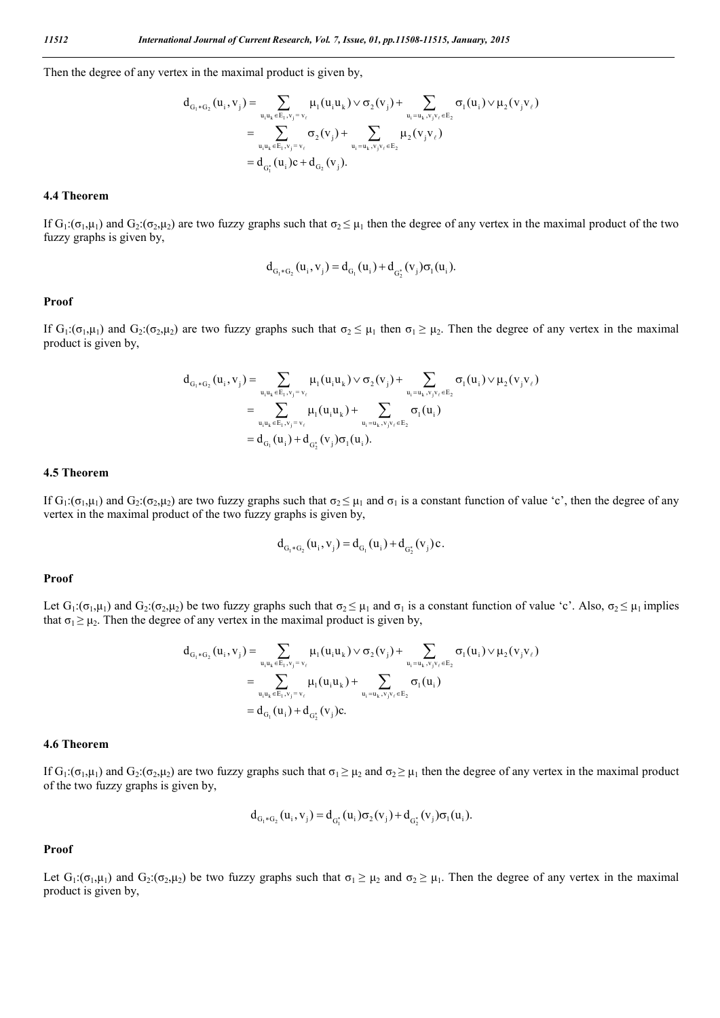Then the degree of any vertex in the maximal product is given by,

$$
\begin{aligned} d_{_{G_i*G_2}}(u_i,v_j) & = \sum_{u_iu_k\in E_1,v_j=v_\ell} \mu_1(u_iu_k) \vee \sigma_2(v_j) + \sum_{u_i=u_k,v_jv_\ell\in E_2} \sigma_1(u_i) \vee \mu_2(v_jv_\ell) \\ & = \sum_{u_iu_k\in E_1,v_j=v_\ell} \sigma_2(v_j) + \sum_{u_i=u_k,v_jv_\ell\in E_2} \mu_2(v_jv_\ell) \\ & = d_{_{G_i^*}}(u_i)c + d_{_{G_2}}(v_j). \end{aligned}
$$

#### **4.4 Theorem**

If  $G_1:(\sigma_1,\mu_1)$  and  $G_2:(\sigma_2,\mu_2)$  are two fuzzy graphs such that  $\sigma_2 \leq \mu_1$  then the degree of any vertex in the maximal product of the two fuzzy graphs is given by,

$$
d_{G_1 * G_2}(u_i, v_j) = d_{G_1}(u_i) + d_{G_2^*}(v_j) \sigma_1(u_i).
$$

#### **Proof**

If  $G_1: (\sigma_1, \mu_1)$  and  $G_2: (\sigma_2, \mu_2)$  are two fuzzy graphs such that  $\sigma_2 \leq \mu_1$  then  $\sigma_1 \geq \mu_2$ . Then the degree of any vertex in the maximal product is given by,

$$
\begin{aligned} d_{G_1*G_2}(u_i,v_j) & = \sum_{u_iu_k \in E_1,v_j=v_\ell} \mu_1(u_iu_k) \vee \sigma_2(v_j) + \sum_{u_i = u_k,v_jv_\ell \in E_2} \sigma_1(u_i) \vee \mu_2(v_jv_\ell) \\ & = \sum_{u_iu_k \in E_1,v_j=v_\ell} \mu_1(u_iu_k) + \sum_{u_i = u_k,v_jv_\ell \in E_2} \sigma_1(u_i) \\ & = d_{G_1}(u_i) + d_{G_2^*}(v_j)\sigma_1(u_i). \end{aligned}
$$

# **4.5 Theorem**

If G<sub>1</sub>:(σ<sub>1</sub>,μ<sub>1</sub>) and G<sub>2</sub>:(σ<sub>2</sub>,μ<sub>2</sub>) are two fuzzy graphs such that σ<sub>2</sub>  $\leq$  μ<sub>1</sub> and σ<sub>1</sub> is a constant function of value 'c', then the degree of any vertex in the maximal product of the two fuzzy graphs is given by,

$$
d_{G_1 * G_2}(u_i, v_j) = d_{G_1}(u_i) + d_{G_2^*}(v_j)c.
$$

#### **Proof**

Let  $G_1: (\sigma_1, \mu_1)$  and  $G_2: (\sigma_2, \mu_2)$  be two fuzzy graphs such that  $\sigma_2 \leq \mu_1$  and  $\sigma_1$  is a constant function of value 'c'. Also,  $\sigma_2 \leq \mu_1$  implies that  $\sigma_1 \ge \mu_2$ . Then the degree of any vertex in the maximal product is given by,

$$
\begin{aligned} d_{_{G_1\ast G_2}}(u_i,v_j) & = \sum_{u_iu_k\in E_1,v_j=v_\ell} \mu_1(u_iu_k) \vee \sigma_2(v_j) + \sum_{u_i=u_k,v_jv_\ell\in E_2} \sigma_1(u_i) \vee \mu_2(v_jv_\ell) \\ & = \sum_{u_iu_k\in E_1,v_j=v_\ell} \mu_1(u_iu_k) + \sum_{u_i=u_k,v_jv_\ell\in E_2} \sigma_1(u_i) \\ & = d_{_{G_1}}(u_i) + d_{_{G_2^*}}(v_j)c. \end{aligned}
$$

#### **4.6 Theorem**

If  $G_1: (\sigma_1, \mu_1)$  and  $G_2: (\sigma_2, \mu_2)$  are two fuzzy graphs such that  $\sigma_1 \geq \mu_2$  and  $\sigma_2 \geq \mu_1$  then the degree of any vertex in the maximal product of the two fuzzy graphs is given by,

$$
d_{G_1 * G_2}(u_i, v_j) = d_{G_1^*}(u_i) \sigma_2(v_j) + d_{G_2^*}(v_j) \sigma_1(u_i).
$$

#### **Proof**

Let  $G_1: (\sigma_1, \mu_1)$  and  $G_2: (\sigma_2, \mu_2)$  be two fuzzy graphs such that  $\sigma_1 \geq \mu_2$  and  $\sigma_2 \geq \mu_1$ . Then the degree of any vertex in the maximal product is given by,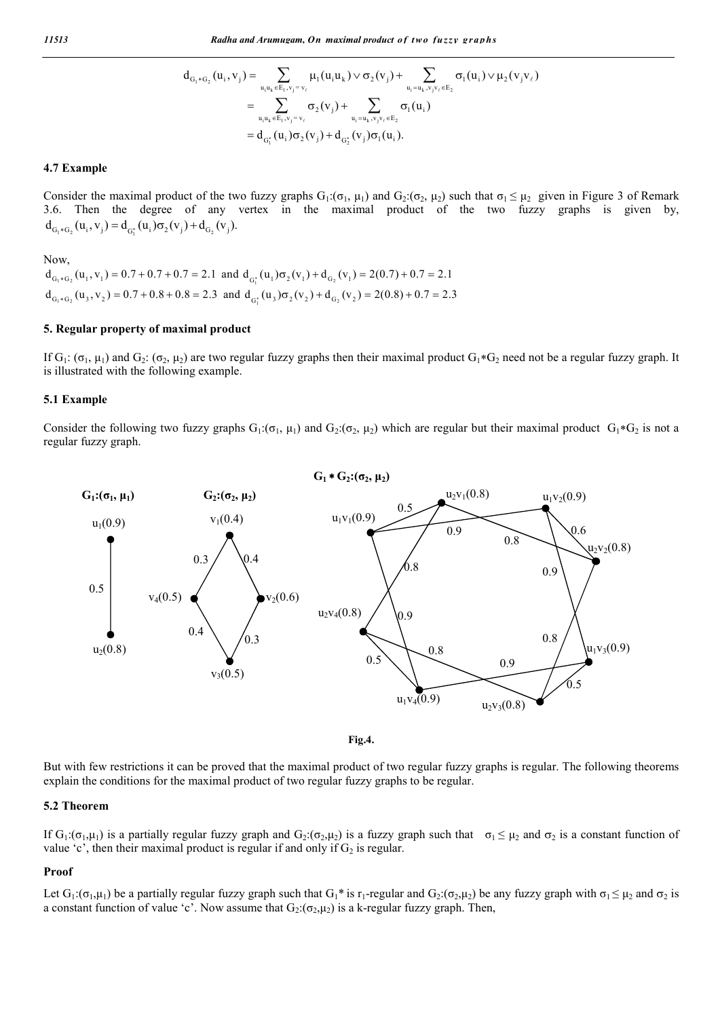$$
\begin{aligned} d_{G_{l} \ast G_{2}}(u_{i},v_{j}) & = \sum_{u_{i}u_{k} \in E_{1},v_{j} = v_{\ell}} \mu_{l}(u_{i}u_{k}) \vee \sigma_{2}(v_{j}) + \sum_{u_{i} = u_{k},v_{j}v_{\ell} \in E_{2}} \sigma_{l}(u_{i}) \vee \mu_{2}(v_{j}v_{\ell}) \\ & = \sum_{u_{i}u_{k} \in E_{1},v_{j} = v_{\ell}} \sigma_{2}(v_{j}) + \sum_{u_{i} = u_{k},v_{j}v_{\ell} \in E_{2}} \sigma_{l}(u_{i}) \\ & = d_{G_{l}^{\ast}}(u_{i})\sigma_{2}(v_{j}) + d_{G_{2}^{\ast}}(v_{j})\sigma_{l}(u_{i}). \end{aligned}
$$

# **4.7 Example**

Consider the maximal product of the two fuzzy graphs  $G_1: (\sigma_1, \mu_1)$  and  $G_2: (\sigma_2, \mu_2)$  such that  $\sigma_1 \leq \mu_2$  given in Figure 3 of Remark 3.6. Then the degree of any vertex in the maximal product of the two fuzzy graphs is given by,  $d_{G_i * G_2}(u_i, v_j) = d_{G_i^*}(u_i) \sigma_2(v_j) + d_{G_2}(v_i).$ 

Now,

 $d_{G_1 * G_2}(u_1, v_1) = 0.7 + 0.7 + 0.7 = 2.1$  and  $d_{G_1^*}(u_1) \sigma_2(v_1) + d_{G_2}(v_1) = 2(0.7) + 0.7 = 2.1$  $d_{G_1 * G_2}(u_3, v_2) = 0.7 + 0.8 + 0.8 = 2.3$  and  $d_{G_1^*}(u_3) \sigma_2(v_2) + d_{G_2}(v_2) = 2(0.8) + 0.7 = 2.3$ 

## **5. Regular property of maximal product**

If  $G_1: (\sigma_1, \mu_1)$  and  $G_2: (\sigma_2, \mu_2)$  are two regular fuzzy graphs then their maximal product  $G_1 * G_2$  need not be a regular fuzzy graph. It is illustrated with the following example.

#### **5.1 Example**

Consider the following two fuzzy graphs  $G_1: (\sigma_1, \mu_1)$  and  $G_2: (\sigma_2, \mu_2)$  which are regular but their maximal product  $G_1 * G_2$  is not a regular fuzzy graph.



**Fig.4.**

But with few restrictions it can be proved that the maximal product of two regular fuzzy graphs is regular. The following theorems explain the conditions for the maximal product of two regular fuzzy graphs to be regular.

## **5.2 Theorem**

If G<sub>1</sub>:(σ<sub>1</sub>,μ<sub>1</sub>) is a partially regular fuzzy graph and G<sub>2</sub>:(σ<sub>2</sub>,μ<sub>2</sub>) is a fuzzy graph such that  $\sigma_1 \leq \mu_2$  and  $\sigma_2$  is a constant function of value 'c', then their maximal product is regular if and only if  $G_2$  is regular.

#### **Proof**

Let  $G_1: (\sigma_1, \mu_1)$  be a partially regular fuzzy graph such that  $G_1^*$  is  $r_1$ -regular and  $G_2: (\sigma_2, \mu_2)$  be any fuzzy graph with  $\sigma_1 \leq \mu_2$  and  $\sigma_2$  is a constant function of value 'c'. Now assume that  $G_2: (\sigma_2,\mu_2)$  is a k-regular fuzzy graph. Then,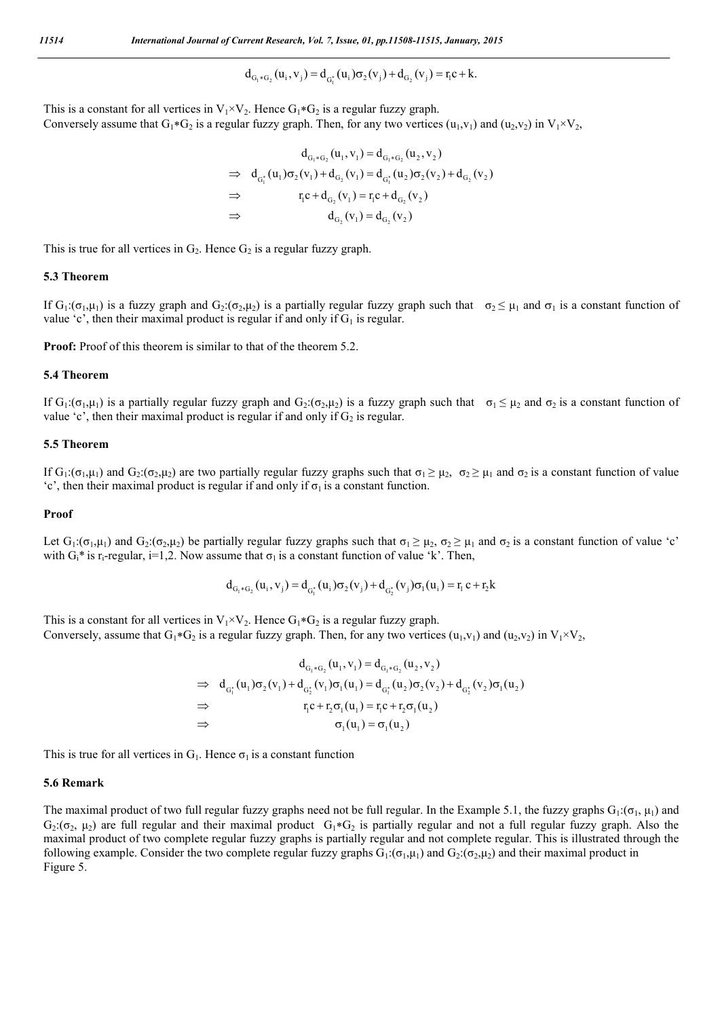$$
d_{G_1 * G_2}(u_i, v_j) = d_{G_1^*}(u_i) \sigma_2(v_j) + d_{G_2}(v_j) = r_i c + k.
$$

This is a constant for all vertices in  $V_1 \times V_2$ . Hence  $G_1 * G_2$  is a regular fuzzy graph. Conversely assume that  $G_1*G_2$  is a regular fuzzy graph. Then, for any two vertices  $(u_1,v_1)$  and  $(u_2,v_2)$  in  $V_1\times V_2$ ,

$$
d_{G_1 * G_2}(u_1, v_1) = d_{G_1 * G_2}(u_2, v_2)
$$
  
\n
$$
\Rightarrow d_{G_1^*}(u_1) \sigma_2(v_1) + d_{G_2}(v_1) = d_{G_1^*}(u_2) \sigma_2(v_2) + d_{G_2}(v_2)
$$
  
\n
$$
\Rightarrow r_1 c + d_{G_2}(v_1) = r_1 c + d_{G_2}(v_2)
$$
  
\n
$$
\Rightarrow d_{G_2}(v_1) = d_{G_2}(v_2)
$$

This is true for all vertices in  $G_2$ . Hence  $G_2$  is a regular fuzzy graph.

#### **5.3 Theorem**

If  $G_1: (\sigma_1, \mu_1)$  is a fuzzy graph and  $G_2: (\sigma_2, \mu_2)$  is a partially regular fuzzy graph such that  $\sigma_2 \leq \mu_1$  and  $\sigma_1$  is a constant function of value 'c', then their maximal product is regular if and only if  $G_1$  is regular.

**Proof:** Proof of this theorem is similar to that of the theorem 5.2.

#### **5.4 Theorem**

If G<sub>1</sub>:(σ<sub>1</sub>,μ<sub>1</sub>) is a partially regular fuzzy graph and G<sub>2</sub>:(σ<sub>2</sub>,μ<sub>2</sub>) is a fuzzy graph such that  $\sigma_1 \leq \mu_2$  and σ<sub>2</sub> is a constant function of value 'c', then their maximal product is regular if and only if  $G_2$  is regular.

# **5.5 Theorem**

If G<sub>1</sub>:(σ<sub>1</sub>,μ<sub>1</sub>) and G<sub>2</sub>:(σ<sub>2</sub>,μ<sub>2</sub>) are two partially regular fuzzy graphs such that σ<sub>1</sub> ≥ μ<sub>2</sub>, σ<sub>2</sub> ≥ μ<sub>1</sub> and σ<sub>2</sub> is a constant function of value 'c', then their maximal product is regular if and only if  $\sigma_1$  is a constant function.

#### **Proof**

Let  $G_1: (\sigma_1, \mu_1)$  and  $G_2: (\sigma_2, \mu_2)$  be partially regular fuzzy graphs such that  $\sigma_1 \geq \mu_2$ ,  $\sigma_2 \geq \mu_1$  and  $\sigma_2$  is a constant function of value 'c' with  $G_i^*$  is r<sub>i</sub>-regular, i=1,2. Now assume that  $\sigma_1$  is a constant function of value 'k'. Then,

$$
d_{G_1 * G_2}(u_i, v_j) = d_{G_1^*}(u_i)\sigma_2(v_j) + d_{G_2^*}(v_j)\sigma_1(u_i) = r_i c + r_2 k
$$

This is a constant for all vertices in  $V_1 \times V_2$ . Hence  $G_1 * G_2$  is a regular fuzzy graph. Conversely, assume that  $G_1 * G_2$  is a regular fuzzy graph. Then, for any two vertices  $(u_1, v_1)$  and  $(u_2, v_2)$  in  $V_1 \times V_2$ ,

$$
d_{G_1 * G_2}(u_1, v_1) = d_{G_1 * G_2}(u_2, v_2)
$$
  
\n
$$
\Rightarrow d_{G_1^*}(u_1) \sigma_2(v_1) + d_{G_2^*}(v_1) \sigma_1(u_1) = d_{G_1^*}(u_2) \sigma_2(v_2) + d_{G_2^*}(v_2) \sigma_1(u_2)
$$
  
\n
$$
\Rightarrow r_1 c + r_2 \sigma_1(u_1) = r_1 c + r_2 \sigma_1(u_2)
$$
  
\n
$$
\Rightarrow \sigma_1(u_1) = \sigma_1(u_2)
$$

This is true for all vertices in  $G_1$ . Hence  $\sigma_1$  is a constant function

#### **5.6 Remark**

The maximal product of two full regular fuzzy graphs need not be full regular. In the Example 5.1, the fuzzy graphs  $G_1: (\sigma_1, \mu_1)$  and  $G_2: (\sigma_2, \mu_2)$  are full regular and their maximal product  $G_1 * G_2$  is partially regular and not a full regular fuzzy graph. Also the maximal product of two complete regular fuzzy graphs is partially regular and not complete regular. This is illustrated through the following example. Consider the two complete regular fuzzy graphs  $G_1: (\sigma_1,\mu_1)$  and  $G_2: (\sigma_2,\mu_2)$  and their maximal product in Figure 5.